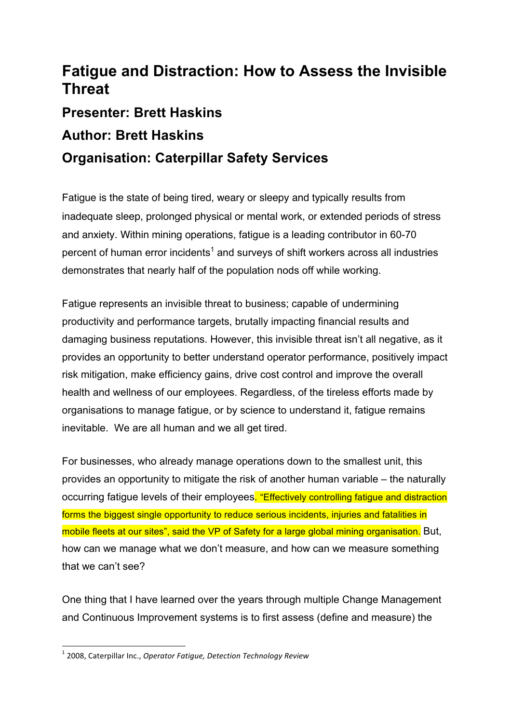## **Fatigue and Distraction: How to Assess the Invisible Threat**

## **Presenter: Brett Haskins**

## **Author: Brett Haskins**

## **Organisation: Caterpillar Safety Services**

Fatigue is the state of being tired, weary or sleepy and typically results from inadequate sleep, prolonged physical or mental work, or extended periods of stress and anxiety. Within mining operations, fatigue is a leading contributor in 60-70 percent of human error incidents<sup>1</sup> and surveys of shift workers across all industries demonstrates that nearly half of the population nods off while working.

Fatigue represents an invisible threat to business; capable of undermining productivity and performance targets, brutally impacting financial results and damaging business reputations. However, this invisible threat isn't all negative, as it provides an opportunity to better understand operator performance, positively impact risk mitigation, make efficiency gains, drive cost control and improve the overall health and wellness of our employees. Regardless, of the tireless efforts made by organisations to manage fatigue, or by science to understand it, fatigue remains inevitable. We are all human and we all get tired.

For businesses, who already manage operations down to the smallest unit, this provides an opportunity to mitigate the risk of another human variable – the naturally occurring fatigue levels of their employees. "Effectively controlling fatigue and distraction forms the biggest single opportunity to reduce serious incidents, injuries and fatalities in mobile fleets at our sites", said the VP of Safety for a large global mining organisation. But, how can we manage what we don't measure, and how can we measure something that we can't see?

One thing that I have learned over the years through multiple Change Management and Continuous Improvement systems is to first assess (define and measure) the

<u> 1989 - Jan Samuel Barbara, margaret e</u>

<sup>&</sup>lt;sup>1</sup> 2008, Caterpillar Inc., *Operator Fatigue, Detection Technology Review*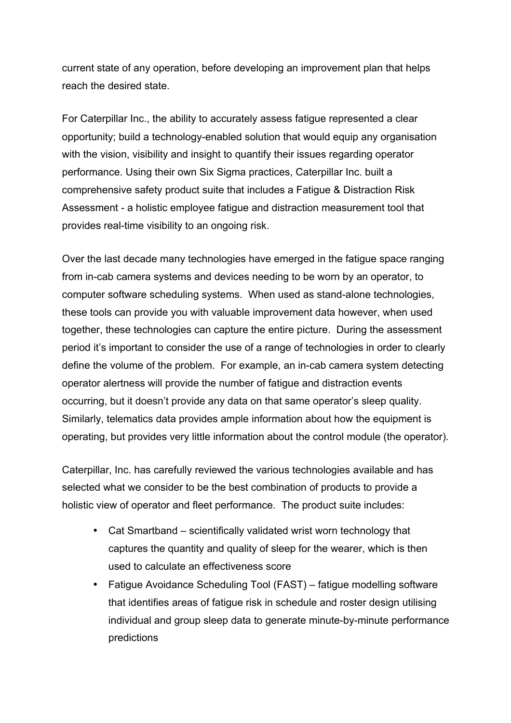current state of any operation, before developing an improvement plan that helps reach the desired state.

For Caterpillar Inc., the ability to accurately assess fatigue represented a clear opportunity; build a technology-enabled solution that would equip any organisation with the vision, visibility and insight to quantify their issues regarding operator performance. Using their own Six Sigma practices, Caterpillar Inc. built a comprehensive safety product suite that includes a Fatigue & Distraction Risk Assessment - a holistic employee fatigue and distraction measurement tool that provides real-time visibility to an ongoing risk.

Over the last decade many technologies have emerged in the fatigue space ranging from in-cab camera systems and devices needing to be worn by an operator, to computer software scheduling systems. When used as stand-alone technologies, these tools can provide you with valuable improvement data however, when used together, these technologies can capture the entire picture. During the assessment period it's important to consider the use of a range of technologies in order to clearly define the volume of the problem. For example, an in-cab camera system detecting operator alertness will provide the number of fatigue and distraction events occurring, but it doesn't provide any data on that same operator's sleep quality. Similarly, telematics data provides ample information about how the equipment is operating, but provides very little information about the control module (the operator).

Caterpillar, Inc. has carefully reviewed the various technologies available and has selected what we consider to be the best combination of products to provide a holistic view of operator and fleet performance. The product suite includes:

- Cat Smartband scientifically validated wrist worn technology that captures the quantity and quality of sleep for the wearer, which is then used to calculate an effectiveness score
- Fatigue Avoidance Scheduling Tool (FAST) fatigue modelling software that identifies areas of fatigue risk in schedule and roster design utilising individual and group sleep data to generate minute-by-minute performance predictions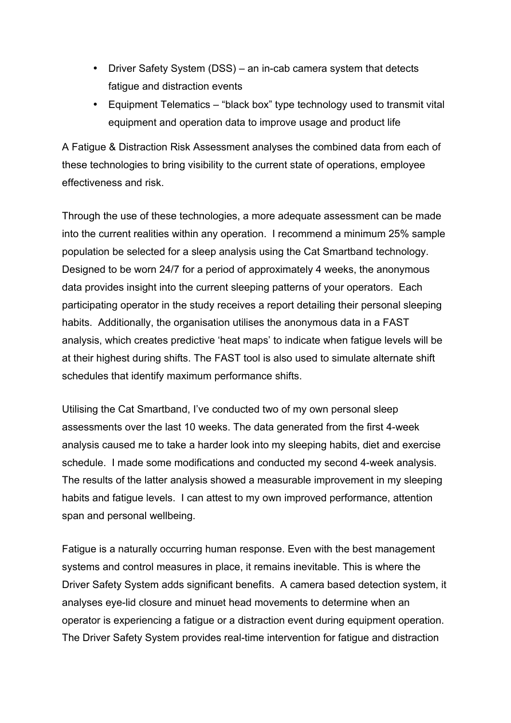- Driver Safety System (DSS) an in-cab camera system that detects fatigue and distraction events
- Equipment Telematics "black box" type technology used to transmit vital equipment and operation data to improve usage and product life

A Fatigue & Distraction Risk Assessment analyses the combined data from each of these technologies to bring visibility to the current state of operations, employee effectiveness and risk.

Through the use of these technologies, a more adequate assessment can be made into the current realities within any operation. I recommend a minimum 25% sample population be selected for a sleep analysis using the Cat Smartband technology. Designed to be worn 24/7 for a period of approximately 4 weeks, the anonymous data provides insight into the current sleeping patterns of your operators. Each participating operator in the study receives a report detailing their personal sleeping habits. Additionally, the organisation utilises the anonymous data in a FAST analysis, which creates predictive 'heat maps' to indicate when fatigue levels will be at their highest during shifts. The FAST tool is also used to simulate alternate shift schedules that identify maximum performance shifts.

Utilising the Cat Smartband, I've conducted two of my own personal sleep assessments over the last 10 weeks. The data generated from the first 4-week analysis caused me to take a harder look into my sleeping habits, diet and exercise schedule. I made some modifications and conducted my second 4-week analysis. The results of the latter analysis showed a measurable improvement in my sleeping habits and fatigue levels. I can attest to my own improved performance, attention span and personal wellbeing.

Fatigue is a naturally occurring human response. Even with the best management systems and control measures in place, it remains inevitable. This is where the Driver Safety System adds significant benefits. A camera based detection system, it analyses eye-lid closure and minuet head movements to determine when an operator is experiencing a fatigue or a distraction event during equipment operation. The Driver Safety System provides real-time intervention for fatigue and distraction